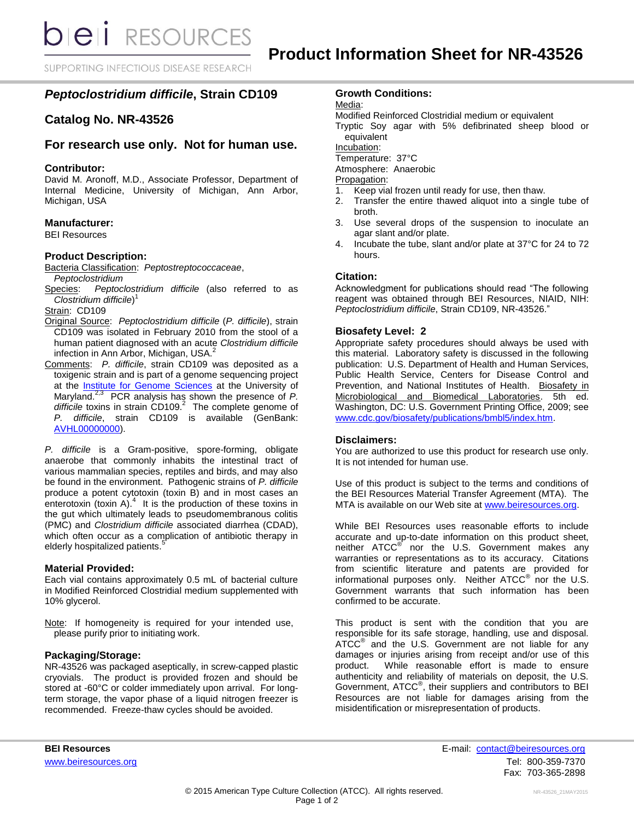**bieli** RESOURCES

SUPPORTING INFECTIOUS DISEASE RESEARCH

# *Peptoclostridium difficile***, Strain CD109**

# **Catalog No. NR-43526**

# **For research use only. Not for human use.**

### **Contributor:**

David M. Aronoff, M.D., Associate Professor, Department of Internal Medicine, University of Michigan, Ann Arbor, Michigan, USA

### **Manufacturer:**

BEI Resources

#### **Product Description:**

Bacteria Classification: *Peptostreptococcaceae*, *Peptoclostridium*

Species: *Peptoclostridium difficile* (also referred to as *Clostridium difficile*) 1

Strain: CD109

- Original Source: *Peptoclostridium difficile* (*P. difficile*), strain CD109 was isolated in February 2010 from the stool of a human patient diagnosed with an acute *Clostridium difficile* infection in Ann Arbor, Michigan, USA.<sup>2</sup>
- Comments: *P. difficile*, strain CD109 was deposited as a toxigenic strain and is part of a genome sequencing project at the [Institute for Genome Sciences](http://www.igs.umaryland.edu/) at the University of Maryland.2,3 PCR analysis has shown the presence of *P. difficile* toxins in strain CD109. 2 The complete genome of *P. difficile*, strain CD109 is available (GenBank: [AVHL00000000\)](http://www.ncbi.nlm.nih.gov/nuccore/AVHL00000000).

*P. difficile* is a Gram-positive, spore-forming, obligate anaerobe that commonly inhabits the intestinal tract of various mammalian species, reptiles and birds, and may also be found in the environment. Pathogenic strains of *P. difficile* produce a potent cytotoxin (toxin B) and in most cases an enterotoxin (toxin A). $4$  It is the production of these toxins in the gut which ultimately leads to pseudomembranous colitis (PMC) and *Clostridium difficile* associated diarrhea (CDAD), which often occur as a complication of antibiotic therapy in elderly hospitalized patients.<sup>5</sup>

#### **Material Provided:**

Each vial contains approximately 0.5 mL of bacterial culture in Modified Reinforced Clostridial medium supplemented with 10% glycerol.

Note: If homogeneity is required for your intended use, please purify prior to initiating work.

#### **Packaging/Storage:**

NR-43526 was packaged aseptically, in screw-capped plastic cryovials. The product is provided frozen and should be stored at -60°C or colder immediately upon arrival. For longterm storage, the vapor phase of a liquid nitrogen freezer is recommended. Freeze-thaw cycles should be avoided.

## **Growth Conditions:**

Media:

Modified Reinforced Clostridial medium or equivalent

Tryptic Soy agar with 5% defibrinated sheep blood or equivalent

Incubation:

Temperature: 37°C

Atmosphere: Anaerobic

Propagation:

- 1. Keep vial frozen until ready for use, then thaw.
- 2. Transfer the entire thawed aliquot into a single tube of broth.
- 3. Use several drops of the suspension to inoculate an agar slant and/or plate.
- 4. Incubate the tube, slant and/or plate at 37°C for 24 to 72 hours.

### **Citation:**

Acknowledgment for publications should read "The following reagent was obtained through BEI Resources, NIAID, NIH: *Peptoclostridium difficile*, Strain CD109, NR-43526."

#### **Biosafety Level: 2**

Appropriate safety procedures should always be used with this material. Laboratory safety is discussed in the following publication: U.S. Department of Health and Human Services, Public Health Service, Centers for Disease Control and Prevention, and National Institutes of Health. Biosafety in Microbiological and Biomedical Laboratories. 5th ed. Washington, DC: U.S. Government Printing Office, 2009; see [www.cdc.gov/biosafety/publications/bmbl5/index.htm.](http://www.cdc.gov/biosafety/publications/bmbl5/index.htm)

#### **Disclaimers:**

You are authorized to use this product for research use only. It is not intended for human use.

Use of this product is subject to the terms and conditions of the BEI Resources Material Transfer Agreement (MTA). The MTA is available on our Web site at [www.beiresources.org.](http://www.beiresources.org/)

While BEI Resources uses reasonable efforts to include accurate and up-to-date information on this product sheet, neither ATCC<sup>®</sup> nor the U.S. Government makes any warranties or representations as to its accuracy. Citations from scientific literature and patents are provided for informational purposes only. Neither  $\tt ATCC^@$  nor the U.S. Government warrants that such information has been confirmed to be accurate.

This product is sent with the condition that you are responsible for its safe storage, handling, use and disposal. ATCC<sup>®</sup> and the U.S. Government are not liable for any damages or injuries arising from receipt and/or use of this product. While reasonable effort is made to ensure authenticity and reliability of materials on deposit, the U.S. Government, ATCC® , their suppliers and contributors to BEI Resources are not liable for damages arising from the misidentification or misrepresentation of products.

**BEI Resources** E-mail: contact@beiresources.org [www.beiresources.org](http://www.beiresources.org/) **Tel: 800-359-7370** Fax: 703-365-2898